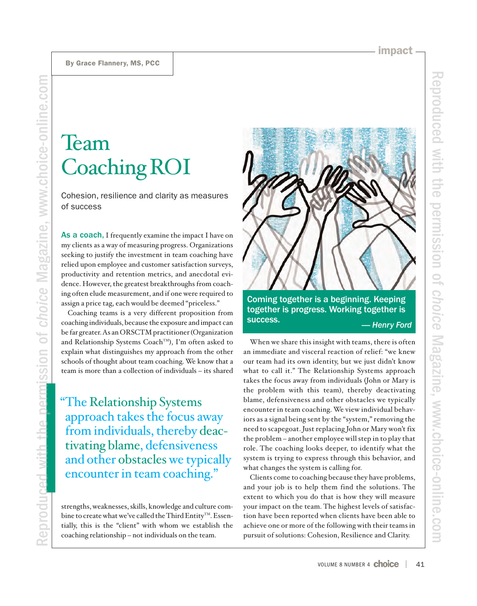# Team Coaching ROI

Cohesion, resilience and clarity as measures of success

As a coach, I frequently examine the impact I have on my clients as a way of measuring progress. Organizations seeking to justify the investment in team coaching have relied upon employee and customer satisfaction surveys, productivity and retention metrics, and anecdotal evidence. However, the greatest breakthroughs from coaching often elude measurement, and if one were required to assign a price tag, each would be deemed "priceless."

Coaching teams is a very different proposition from coaching individuals, because the exposure and impact can be far greater. As an ORSCTM practitioner (Organization and Relationship Systems Coach<sup>TM</sup>), I'm often asked to explain what distinguishes my approach from the other schools of thought about team coaching. We know that a team is more than a collection of individuals – its shared

Reproduced with the permission of *choice* Magazine, www.choice-online.com

Reproduced with the permission of choice Magazine, www.choice-online.com

"The Relationship Systems approach takes the focus away from individuals, thereby deactivating blame, defensiveness and other obstacles we typically encounter in team coaching."

strengths, weaknesses, skills, knowledge and culture combine to create what we've called the Third Entity<sup>TM</sup>. Essentially, this is the "client" with whom we establish the coaching relationship – not individuals on the team.



Coming together is a beginning. Keeping together is progress. Working together is success. **Exercise Success. — Henry Ford** 

When we share this insight with teams, there is often an immediate and visceral reaction of relief: "we knew our team had its own identity, but we just didn't know what to call it." The Relationship Systems approach takes the focus away from individuals (John or Mary is the problem with this team), thereby deactivating blame, defensiveness and other obstacles we typically encounter in team coaching. We view individual behaviors as a signal being sent by the "system," removing the need to scapegoat. Just replacing John or Mary won't fix the problem – another employee will step in to play that role. The coaching looks deeper, to identify what the system is trying to express through this behavior, and what changes the system is calling for.

Clients come to coaching because they have problems, and your job is to help them find the solutions. The extent to which you do that is how they will measure your impact on the team. The highest levels of satisfaction have been reported when clients have been able to achieve one or more of the following with their teams in pursuit of solutions: Cohesion, Resilience and Clarity.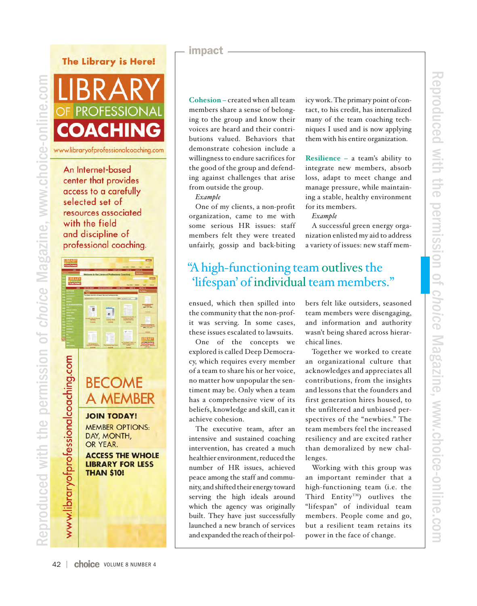# **The Library is Here!**

## LIBRAR' OF PROFESSIONAL **COACHING**

www.libraryofprofessionalcoaching.com

An Internet-based center that provides access to a carefully selected set of resources associated with the field and discipline of professional coaching.



Reproduced with the permission of *choice* Magazine, www.choice-online.com

Reproduced with the permission of choice Magazine, www.choice-or

www.libraryofprofessionalcoaching.com

**BECOME** A MEMBER

**JOIN TODAY!** 

**MEMBER OPTIONS:** DAY, MONTH, OR YEAR.

#### **ACCESS THE WHOLE LIBRARY FOR LESS THAN \$10!**

#### **impact**

**Cohesion –** created when all team members share a sense of belonging to the group and know their voices are heard and their contributions valued. Behaviors that demonstrate cohesion include a willingness to endure sacrifices for the good of the group and defending against challenges that arise from outside the group.

#### *Example*

One of my clients, a non-profit organization, came to me with some serious HR issues: staff members felt they were treated unfairly, gossip and back-biting

icy work. The primary point of contact, to his credit, has internalized many of the team coaching techniques I used and is now applying them with his entire organization.

**Resilience –** a team's ability to integrate new members, absorb loss, adapt to meet change and manage pressure, while maintaining a stable, healthy environment for its members.

#### *Example*

A successful green energy organization enlisted my aid to address a variety of issues: new staff mem-

### "A high-functioning team outlives the 'lifespan' of individual team members."

ensued, which then spilled into the community that the non-profit was serving. In some cases, these issues escalated to lawsuits.

One of the concepts we explored is called Deep Democracy, which requires every member of a team to share his or her voice, no matter how unpopular the sentiment may be. Only when a team has a comprehensive view of its beliefs, knowledge and skill, can it achieve cohesion.

The executive team, after an intensive and sustained coaching intervention, has created a much healthier environment, reduced the number of HR issues, achieved peace among the staff and community, and shifted their energy toward serving the high ideals around which the agency was originally built. They have just successfully launched a new branch of services and expanded the reach of their polbers felt like outsiders, seasoned team members were disengaging, and information and authority wasn't being shared across hierarchical lines.

Together we worked to create an organizational culture that acknowledges and appreciates all contributions, from the insights and lessons that the founders and first generation hires housed, to the unfiltered and unbiased perspectives of the "newbies." The team members feel the increased resiliency and are excited rather than demoralized by new challenges.

Working with this group was an important reminder that a high-functioning team (i.e. the Third Entity<sup>TM</sup>) outlives the "lifespan" of individual team members. People come and go, but a resilient team retains its power in the face of change.